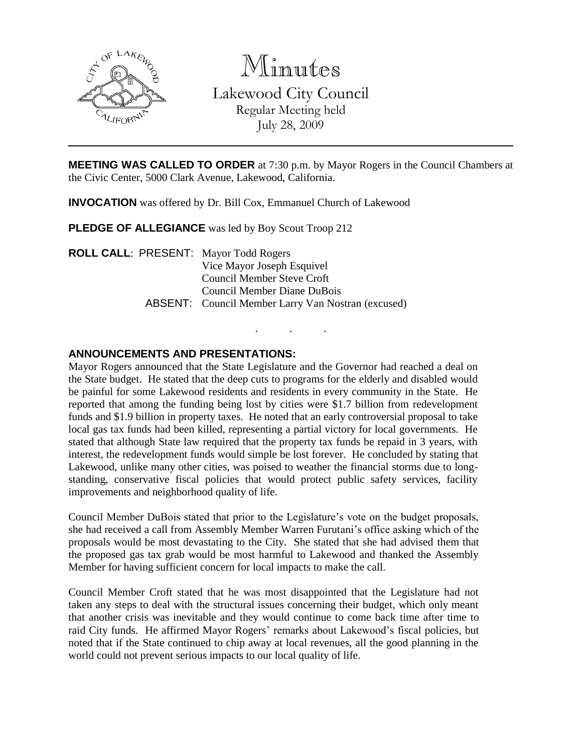

Minutes

Lakewood City Council Regular Meeting held July 28, 2009

**MEETING WAS CALLED TO ORDER** at 7:30 p.m. by Mayor Rogers in the Council Chambers at the Civic Center, 5000 Clark Avenue, Lakewood, California.

. . .

**INVOCATION** was offered by Dr. Bill Cox, Emmanuel Church of Lakewood

**PLEDGE OF ALLEGIANCE** was led by Boy Scout Troop 212

**ROLL CALL**: PRESENT: Mayor Todd Rogers Vice Mayor Joseph Esquivel Council Member Steve Croft Council Member Diane DuBois ABSENT: Council Member Larry Van Nostran (excused)

## **ANNOUNCEMENTS AND PRESENTATIONS:**

Mayor Rogers announced that the State Legislature and the Governor had reached a deal on the State budget. He stated that the deep cuts to programs for the elderly and disabled would be painful for some Lakewood residents and residents in every community in the State. He reported that among the funding being lost by cities were \$1.7 billion from redevelopment funds and \$1.9 billion in property taxes. He noted that an early controversial proposal to take local gas tax funds had been killed, representing a partial victory for local governments. He stated that although State law required that the property tax funds be repaid in 3 years, with interest, the redevelopment funds would simple be lost forever. He concluded by stating that Lakewood, unlike many other cities, was poised to weather the financial storms due to longstanding, conservative fiscal policies that would protect public safety services, facility improvements and neighborhood quality of life.

Council Member DuBois stated that prior to the Legislature's vote on the budget proposals, she had received a call from Assembly Member Warren Furutani's office asking which of the proposals would be most devastating to the City. She stated that she had advised them that the proposed gas tax grab would be most harmful to Lakewood and thanked the Assembly Member for having sufficient concern for local impacts to make the call.

Council Member Croft stated that he was most disappointed that the Legislature had not taken any steps to deal with the structural issues concerning their budget, which only meant that another crisis was inevitable and they would continue to come back time after time to raid City funds. He affirmed Mayor Rogers' remarks about Lakewood's fiscal policies, but noted that if the State continued to chip away at local revenues, all the good planning in the world could not prevent serious impacts to our local quality of life.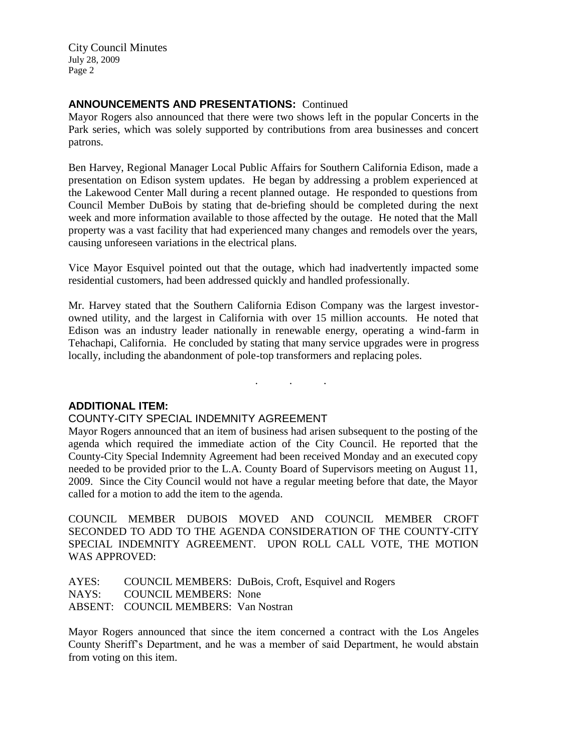## **ANNOUNCEMENTS AND PRESENTATIONS:** Continued

Mayor Rogers also announced that there were two shows left in the popular Concerts in the Park series, which was solely supported by contributions from area businesses and concert patrons.

Ben Harvey, Regional Manager Local Public Affairs for Southern California Edison, made a presentation on Edison system updates. He began by addressing a problem experienced at the Lakewood Center Mall during a recent planned outage. He responded to questions from Council Member DuBois by stating that de-briefing should be completed during the next week and more information available to those affected by the outage. He noted that the Mall property was a vast facility that had experienced many changes and remodels over the years, causing unforeseen variations in the electrical plans.

Vice Mayor Esquivel pointed out that the outage, which had inadvertently impacted some residential customers, had been addressed quickly and handled professionally.

Mr. Harvey stated that the Southern California Edison Company was the largest investorowned utility, and the largest in California with over 15 million accounts. He noted that Edison was an industry leader nationally in renewable energy, operating a wind-farm in Tehachapi, California. He concluded by stating that many service upgrades were in progress locally, including the abandonment of pole-top transformers and replacing poles.

. . .

## **ADDITIONAL ITEM:**

### COUNTY-CITY SPECIAL INDEMNITY AGREEMENT

Mayor Rogers announced that an item of business had arisen subsequent to the posting of the agenda which required the immediate action of the City Council. He reported that the County-City Special Indemnity Agreement had been received Monday and an executed copy needed to be provided prior to the L.A. County Board of Supervisors meeting on August 11, 2009. Since the City Council would not have a regular meeting before that date, the Mayor called for a motion to add the item to the agenda.

COUNCIL MEMBER DUBOIS MOVED AND COUNCIL MEMBER CROFT SECONDED TO ADD TO THE AGENDA CONSIDERATION OF THE COUNTY-CITY SPECIAL INDEMNITY AGREEMENT. UPON ROLL CALL VOTE, THE MOTION WAS APPROVED:

AYES: COUNCIL MEMBERS: DuBois, Croft, Esquivel and Rogers NAYS: COUNCIL MEMBERS: None ABSENT: COUNCIL MEMBERS: Van Nostran

Mayor Rogers announced that since the item concerned a contract with the Los Angeles County Sheriff's Department, and he was a member of said Department, he would abstain from voting on this item.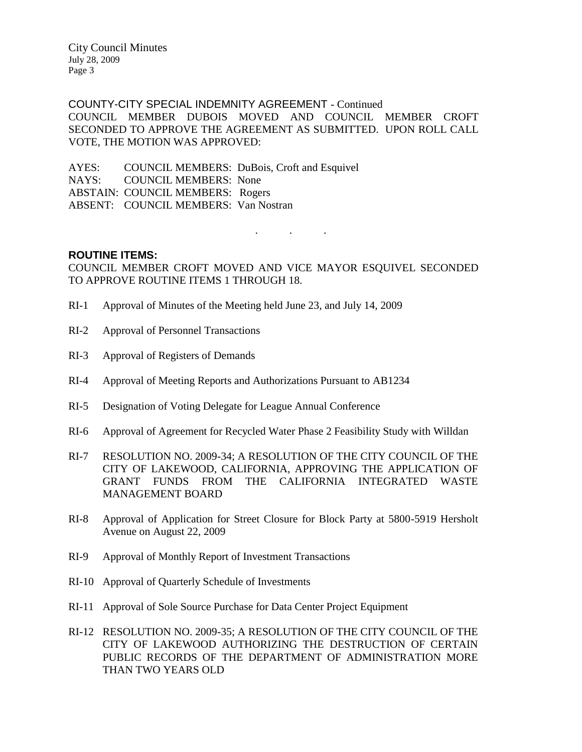COUNTY-CITY SPECIAL INDEMNITY AGREEMENT - Continued COUNCIL MEMBER DUBOIS MOVED AND COUNCIL MEMBER CROFT SECONDED TO APPROVE THE AGREEMENT AS SUBMITTED. UPON ROLL CALL VOTE, THE MOTION WAS APPROVED:

AYES: COUNCIL MEMBERS: DuBois, Croft and Esquivel NAYS: COUNCIL MEMBERS: None ABSTAIN: COUNCIL MEMBERS: Rogers ABSENT: COUNCIL MEMBERS: Van Nostran

. . .

### **ROUTINE ITEMS:**

COUNCIL MEMBER CROFT MOVED AND VICE MAYOR ESQUIVEL SECONDED TO APPROVE ROUTINE ITEMS 1 THROUGH 18.

- RI-1 Approval of Minutes of the Meeting held June 23, and July 14, 2009
- RI-2 Approval of Personnel Transactions
- RI-3 Approval of Registers of Demands
- RI-4 Approval of Meeting Reports and Authorizations Pursuant to AB1234
- RI-5 Designation of Voting Delegate for League Annual Conference
- RI-6 Approval of Agreement for Recycled Water Phase 2 Feasibility Study with Willdan
- RI-7 RESOLUTION NO. 2009-34; A RESOLUTION OF THE CITY COUNCIL OF THE CITY OF LAKEWOOD, CALIFORNIA, APPROVING THE APPLICATION OF GRANT FUNDS FROM THE CALIFORNIA INTEGRATED WASTE MANAGEMENT BOARD
- RI-8 Approval of Application for Street Closure for Block Party at 5800-5919 Hersholt Avenue on August 22, 2009
- RI-9 Approval of Monthly Report of Investment Transactions
- RI-10 Approval of Quarterly Schedule of Investments
- RI-11 Approval of Sole Source Purchase for Data Center Project Equipment
- RI-12 RESOLUTION NO. 2009-35; A RESOLUTION OF THE CITY COUNCIL OF THE CITY OF LAKEWOOD AUTHORIZING THE DESTRUCTION OF CERTAIN PUBLIC RECORDS OF THE DEPARTMENT OF ADMINISTRATION MORE THAN TWO YEARS OLD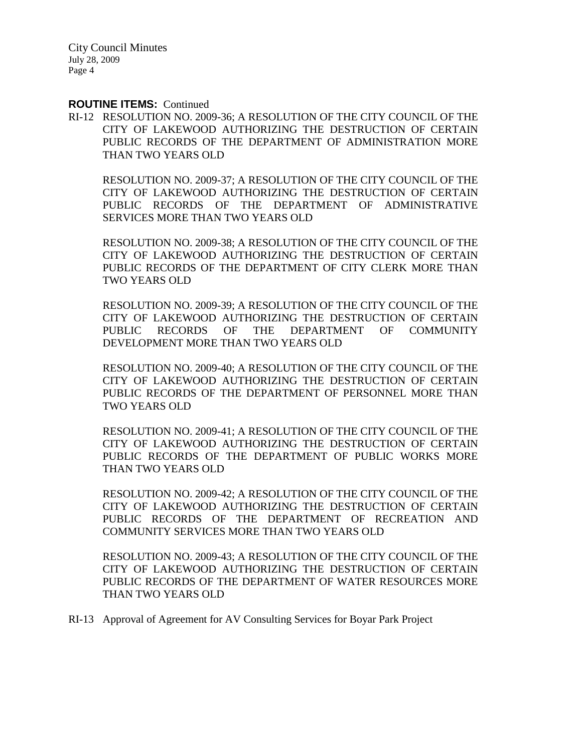#### **ROUTINE ITEMS:** Continued

RI-12 RESOLUTION NO. 2009-36; A RESOLUTION OF THE CITY COUNCIL OF THE CITY OF LAKEWOOD AUTHORIZING THE DESTRUCTION OF CERTAIN PUBLIC RECORDS OF THE DEPARTMENT OF ADMINISTRATION MORE THAN TWO YEARS OLD

RESOLUTION NO. 2009-37; A RESOLUTION OF THE CITY COUNCIL OF THE CITY OF LAKEWOOD AUTHORIZING THE DESTRUCTION OF CERTAIN PUBLIC RECORDS OF THE DEPARTMENT OF ADMINISTRATIVE SERVICES MORE THAN TWO YEARS OLD

RESOLUTION NO. 2009-38; A RESOLUTION OF THE CITY COUNCIL OF THE CITY OF LAKEWOOD AUTHORIZING THE DESTRUCTION OF CERTAIN PUBLIC RECORDS OF THE DEPARTMENT OF CITY CLERK MORE THAN TWO YEARS OLD

RESOLUTION NO. 2009-39; A RESOLUTION OF THE CITY COUNCIL OF THE CITY OF LAKEWOOD AUTHORIZING THE DESTRUCTION OF CERTAIN PUBLIC RECORDS OF THE DEPARTMENT OF COMMUNITY DEVELOPMENT MORE THAN TWO YEARS OLD

RESOLUTION NO. 2009-40; A RESOLUTION OF THE CITY COUNCIL OF THE CITY OF LAKEWOOD AUTHORIZING THE DESTRUCTION OF CERTAIN PUBLIC RECORDS OF THE DEPARTMENT OF PERSONNEL MORE THAN TWO YEARS OLD

RESOLUTION NO. 2009-41; A RESOLUTION OF THE CITY COUNCIL OF THE CITY OF LAKEWOOD AUTHORIZING THE DESTRUCTION OF CERTAIN PUBLIC RECORDS OF THE DEPARTMENT OF PUBLIC WORKS MORE THAN TWO YEARS OLD

RESOLUTION NO. 2009-42; A RESOLUTION OF THE CITY COUNCIL OF THE CITY OF LAKEWOOD AUTHORIZING THE DESTRUCTION OF CERTAIN PUBLIC RECORDS OF THE DEPARTMENT OF RECREATION AND COMMUNITY SERVICES MORE THAN TWO YEARS OLD

RESOLUTION NO. 2009-43; A RESOLUTION OF THE CITY COUNCIL OF THE CITY OF LAKEWOOD AUTHORIZING THE DESTRUCTION OF CERTAIN PUBLIC RECORDS OF THE DEPARTMENT OF WATER RESOURCES MORE THAN TWO YEARS OLD

RI-13 Approval of Agreement for AV Consulting Services for Boyar Park Project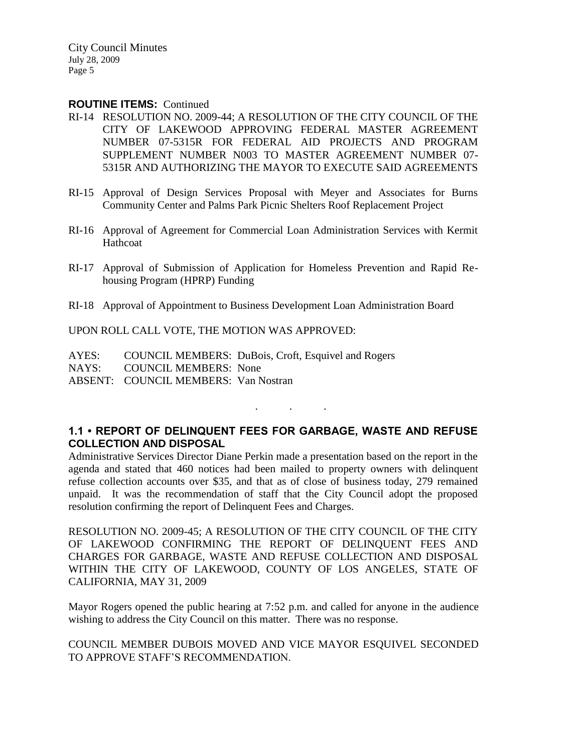### **ROUTINE ITEMS:** Continued

- RI-14 RESOLUTION NO. 2009-44; A RESOLUTION OF THE CITY COUNCIL OF THE CITY OF LAKEWOOD APPROVING FEDERAL MASTER AGREEMENT NUMBER 07-5315R FOR FEDERAL AID PROJECTS AND PROGRAM SUPPLEMENT NUMBER N003 TO MASTER AGREEMENT NUMBER 07- 5315R AND AUTHORIZING THE MAYOR TO EXECUTE SAID AGREEMENTS
- RI-15 Approval of Design Services Proposal with Meyer and Associates for Burns Community Center and Palms Park Picnic Shelters Roof Replacement Project
- RI-16 Approval of Agreement for Commercial Loan Administration Services with Kermit Hathcoat
- RI-17 Approval of Submission of Application for Homeless Prevention and Rapid Rehousing Program (HPRP) Funding
- RI-18 Approval of Appointment to Business Development Loan Administration Board

UPON ROLL CALL VOTE, THE MOTION WAS APPROVED:

AYES: COUNCIL MEMBERS: DuBois, Croft, Esquivel and Rogers NAYS: COUNCIL MEMBERS: None ABSENT: COUNCIL MEMBERS: Van Nostran

## **1.1 • REPORT OF DELINQUENT FEES FOR GARBAGE, WASTE AND REFUSE COLLECTION AND DISPOSAL**

. . .

Administrative Services Director Diane Perkin made a presentation based on the report in the agenda and stated that 460 notices had been mailed to property owners with delinquent refuse collection accounts over \$35, and that as of close of business today, 279 remained unpaid. It was the recommendation of staff that the City Council adopt the proposed resolution confirming the report of Delinquent Fees and Charges.

RESOLUTION NO. 2009-45; A RESOLUTION OF THE CITY COUNCIL OF THE CITY OF LAKEWOOD CONFIRMING THE REPORT OF DELINQUENT FEES AND CHARGES FOR GARBAGE, WASTE AND REFUSE COLLECTION AND DISPOSAL WITHIN THE CITY OF LAKEWOOD, COUNTY OF LOS ANGELES, STATE OF CALIFORNIA, MAY 31, 2009

Mayor Rogers opened the public hearing at 7:52 p.m. and called for anyone in the audience wishing to address the City Council on this matter. There was no response.

COUNCIL MEMBER DUBOIS MOVED AND VICE MAYOR ESQUIVEL SECONDED TO APPROVE STAFF'S RECOMMENDATION.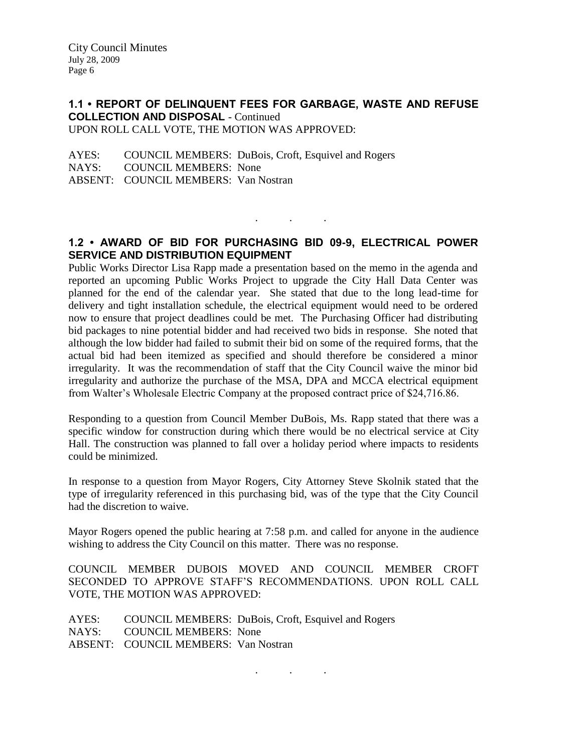### **1.1 • REPORT OF DELINQUENT FEES FOR GARBAGE, WASTE AND REFUSE COLLECTION AND DISPOSAL** - Continued UPON ROLL CALL VOTE, THE MOTION WAS APPROVED:

AYES: COUNCIL MEMBERS: DuBois, Croft, Esquivel and Rogers NAYS: COUNCIL MEMBERS: None ABSENT: COUNCIL MEMBERS: Van Nostran

## **1.2 • AWARD OF BID FOR PURCHASING BID 09-9, ELECTRICAL POWER SERVICE AND DISTRIBUTION EQUIPMENT**

. . .

Public Works Director Lisa Rapp made a presentation based on the memo in the agenda and reported an upcoming Public Works Project to upgrade the City Hall Data Center was planned for the end of the calendar year. She stated that due to the long lead-time for delivery and tight installation schedule, the electrical equipment would need to be ordered now to ensure that project deadlines could be met. The Purchasing Officer had distributing bid packages to nine potential bidder and had received two bids in response. She noted that although the low bidder had failed to submit their bid on some of the required forms, that the actual bid had been itemized as specified and should therefore be considered a minor irregularity. It was the recommendation of staff that the City Council waive the minor bid irregularity and authorize the purchase of the MSA, DPA and MCCA electrical equipment from Walter's Wholesale Electric Company at the proposed contract price of \$24,716.86.

Responding to a question from Council Member DuBois, Ms. Rapp stated that there was a specific window for construction during which there would be no electrical service at City Hall. The construction was planned to fall over a holiday period where impacts to residents could be minimized.

In response to a question from Mayor Rogers, City Attorney Steve Skolnik stated that the type of irregularity referenced in this purchasing bid, was of the type that the City Council had the discretion to waive.

Mayor Rogers opened the public hearing at 7:58 p.m. and called for anyone in the audience wishing to address the City Council on this matter. There was no response.

COUNCIL MEMBER DUBOIS MOVED AND COUNCIL MEMBER CROFT SECONDED TO APPROVE STAFF'S RECOMMENDATIONS. UPON ROLL CALL VOTE, THE MOTION WAS APPROVED:

. . .

| AYES: |                                      | COUNCIL MEMBERS: DuBois, Croft, Esquivel and Rogers |
|-------|--------------------------------------|-----------------------------------------------------|
|       | NAYS: COUNCIL MEMBERS: None          |                                                     |
|       | ABSENT: COUNCIL MEMBERS: Van Nostran |                                                     |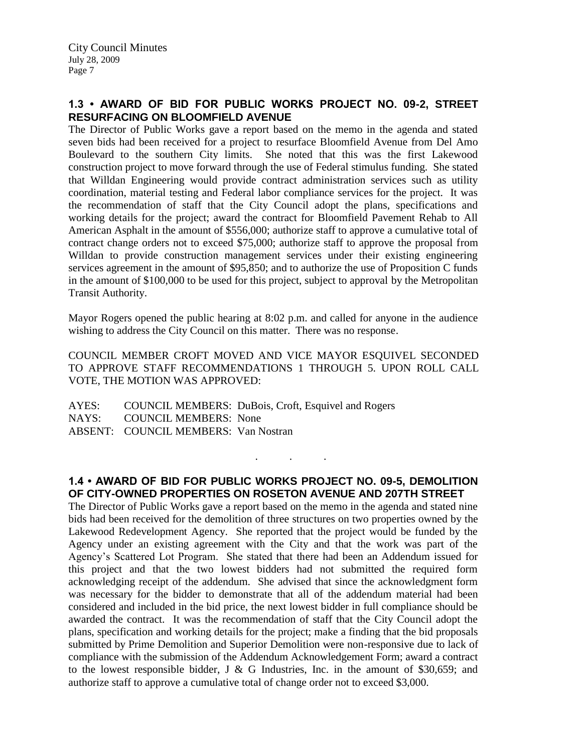## **1.3 • AWARD OF BID FOR PUBLIC WORKS PROJECT NO. 09-2, STREET RESURFACING ON BLOOMFIELD AVENUE**

The Director of Public Works gave a report based on the memo in the agenda and stated seven bids had been received for a project to resurface Bloomfield Avenue from Del Amo Boulevard to the southern City limits. She noted that this was the first Lakewood construction project to move forward through the use of Federal stimulus funding. She stated that Willdan Engineering would provide contract administration services such as utility coordination, material testing and Federal labor compliance services for the project. It was the recommendation of staff that the City Council adopt the plans, specifications and working details for the project; award the contract for Bloomfield Pavement Rehab to All American Asphalt in the amount of \$556,000; authorize staff to approve a cumulative total of contract change orders not to exceed \$75,000; authorize staff to approve the proposal from Willdan to provide construction management services under their existing engineering services agreement in the amount of \$95,850; and to authorize the use of Proposition C funds in the amount of \$100,000 to be used for this project, subject to approval by the Metropolitan Transit Authority.

Mayor Rogers opened the public hearing at 8:02 p.m. and called for anyone in the audience wishing to address the City Council on this matter. There was no response.

COUNCIL MEMBER CROFT MOVED AND VICE MAYOR ESQUIVEL SECONDED TO APPROVE STAFF RECOMMENDATIONS 1 THROUGH 5. UPON ROLL CALL VOTE, THE MOTION WAS APPROVED:

AYES: COUNCIL MEMBERS: DuBois, Croft, Esquivel and Rogers NAYS: COUNCIL MEMBERS: None ABSENT: COUNCIL MEMBERS: Van Nostran

## **1.4 • AWARD OF BID FOR PUBLIC WORKS PROJECT NO. 09-5, DEMOLITION OF CITY-OWNED PROPERTIES ON ROSETON AVENUE AND 207TH STREET**

. . .

The Director of Public Works gave a report based on the memo in the agenda and stated nine bids had been received for the demolition of three structures on two properties owned by the Lakewood Redevelopment Agency. She reported that the project would be funded by the Agency under an existing agreement with the City and that the work was part of the Agency's Scattered Lot Program. She stated that there had been an Addendum issued for this project and that the two lowest bidders had not submitted the required form acknowledging receipt of the addendum. She advised that since the acknowledgment form was necessary for the bidder to demonstrate that all of the addendum material had been considered and included in the bid price, the next lowest bidder in full compliance should be awarded the contract. It was the recommendation of staff that the City Council adopt the plans, specification and working details for the project; make a finding that the bid proposals submitted by Prime Demolition and Superior Demolition were non-responsive due to lack of compliance with the submission of the Addendum Acknowledgement Form; award a contract to the lowest responsible bidder, J & G Industries, Inc. in the amount of \$30,659; and authorize staff to approve a cumulative total of change order not to exceed \$3,000.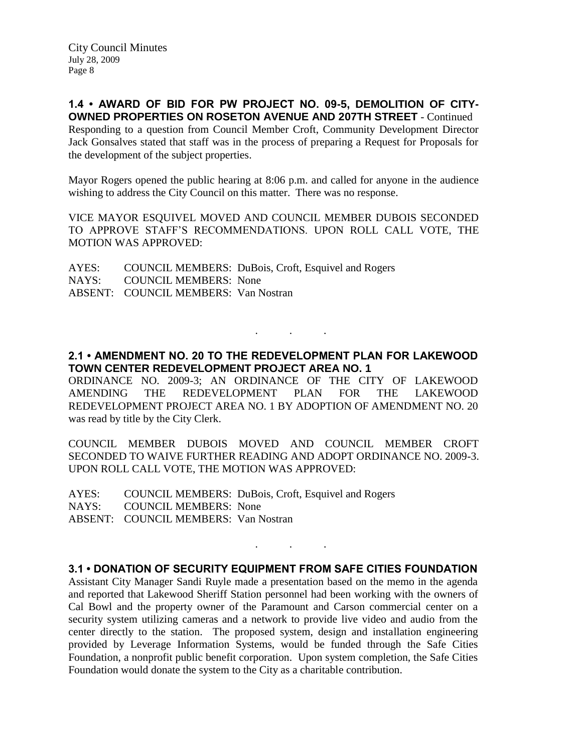**1.4 • AWARD OF BID FOR PW PROJECT NO. 09-5, DEMOLITION OF CITY-OWNED PROPERTIES ON ROSETON AVENUE AND 207TH STREET** - Continued Responding to a question from Council Member Croft, Community Development Director Jack Gonsalves stated that staff was in the process of preparing a Request for Proposals for the development of the subject properties.

Mayor Rogers opened the public hearing at 8:06 p.m. and called for anyone in the audience wishing to address the City Council on this matter. There was no response.

VICE MAYOR ESQUIVEL MOVED AND COUNCIL MEMBER DUBOIS SECONDED TO APPROVE STAFF'S RECOMMENDATIONS. UPON ROLL CALL VOTE, THE MOTION WAS APPROVED:

AYES: COUNCIL MEMBERS: DuBois, Croft, Esquivel and Rogers NAYS: COUNCIL MEMBERS: None ABSENT: COUNCIL MEMBERS: Van Nostran

## **2.1 • AMENDMENT NO. 20 TO THE REDEVELOPMENT PLAN FOR LAKEWOOD TOWN CENTER REDEVELOPMENT PROJECT AREA NO. 1**

. . .

ORDINANCE NO. 2009-3; AN ORDINANCE OF THE CITY OF LAKEWOOD AMENDING THE REDEVELOPMENT PLAN FOR THE LAKEWOOD REDEVELOPMENT PROJECT AREA NO. 1 BY ADOPTION OF AMENDMENT NO. 20 was read by title by the City Clerk.

COUNCIL MEMBER DUBOIS MOVED AND COUNCIL MEMBER CROFT SECONDED TO WAIVE FURTHER READING AND ADOPT ORDINANCE NO. 2009-3. UPON ROLL CALL VOTE, THE MOTION WAS APPROVED:

AYES: COUNCIL MEMBERS: DuBois, Croft, Esquivel and Rogers NAYS: COUNCIL MEMBERS: None ABSENT: COUNCIL MEMBERS: Van Nostran

## **3.1 • DONATION OF SECURITY EQUIPMENT FROM SAFE CITIES FOUNDATION**

. . .

Assistant City Manager Sandi Ruyle made a presentation based on the memo in the agenda and reported that Lakewood Sheriff Station personnel had been working with the owners of Cal Bowl and the property owner of the Paramount and Carson commercial center on a security system utilizing cameras and a network to provide live video and audio from the center directly to the station. The proposed system, design and installation engineering provided by Leverage Information Systems, would be funded through the Safe Cities Foundation, a nonprofit public benefit corporation. Upon system completion, the Safe Cities Foundation would donate the system to the City as a charitable contribution.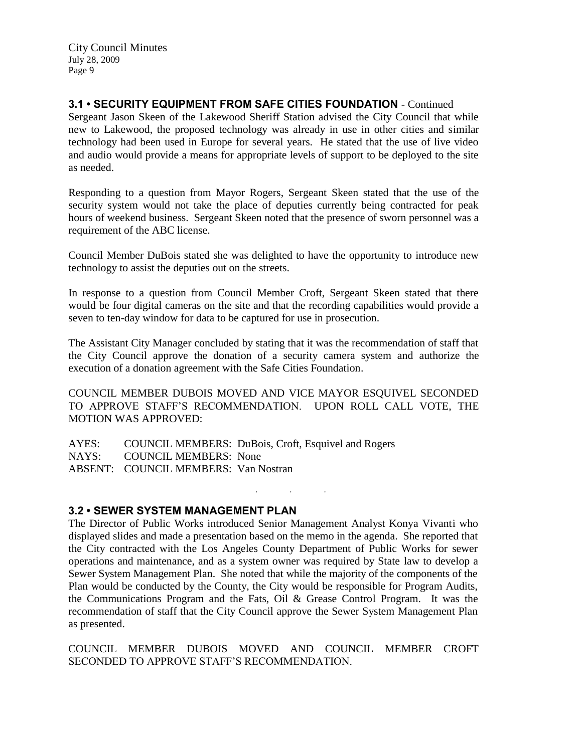**3.1 • SECURITY EQUIPMENT FROM SAFE CITIES FOUNDATION** - Continued

Sergeant Jason Skeen of the Lakewood Sheriff Station advised the City Council that while new to Lakewood, the proposed technology was already in use in other cities and similar technology had been used in Europe for several years. He stated that the use of live video and audio would provide a means for appropriate levels of support to be deployed to the site as needed.

Responding to a question from Mayor Rogers, Sergeant Skeen stated that the use of the security system would not take the place of deputies currently being contracted for peak hours of weekend business. Sergeant Skeen noted that the presence of sworn personnel was a requirement of the ABC license.

Council Member DuBois stated she was delighted to have the opportunity to introduce new technology to assist the deputies out on the streets.

In response to a question from Council Member Croft, Sergeant Skeen stated that there would be four digital cameras on the site and that the recording capabilities would provide a seven to ten-day window for data to be captured for use in prosecution.

The Assistant City Manager concluded by stating that it was the recommendation of staff that the City Council approve the donation of a security camera system and authorize the execution of a donation agreement with the Safe Cities Foundation.

COUNCIL MEMBER DUBOIS MOVED AND VICE MAYOR ESQUIVEL SECONDED TO APPROVE STAFF'S RECOMMENDATION. UPON ROLL CALL VOTE, THE MOTION WAS APPROVED:

AYES: COUNCIL MEMBERS: DuBois, Croft, Esquivel and Rogers NAYS: COUNCIL MEMBERS: None ABSENT: COUNCIL MEMBERS: Van Nostran

## **3.2 • SEWER SYSTEM MANAGEMENT PLAN**

The Director of Public Works introduced Senior Management Analyst Konya Vivanti who displayed slides and made a presentation based on the memo in the agenda. She reported that the City contracted with the Los Angeles County Department of Public Works for sewer operations and maintenance, and as a system owner was required by State law to develop a Sewer System Management Plan. She noted that while the majority of the components of the Plan would be conducted by the County, the City would be responsible for Program Audits, the Communications Program and the Fats, Oil & Grease Control Program. It was the recommendation of staff that the City Council approve the Sewer System Management Plan as presented.

. . .

COUNCIL MEMBER DUBOIS MOVED AND COUNCIL MEMBER CROFT SECONDED TO APPROVE STAFF'S RECOMMENDATION.